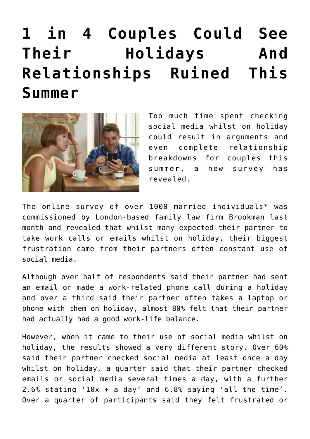## **[1 in 4 Couples Could See](https://freesun.be/1-in-4-couples-could-see-their-holidays-and-relationships-ruined-this-summer/) [Their Holidays And](https://freesun.be/1-in-4-couples-could-see-their-holidays-and-relationships-ruined-this-summer/) [Relationships Ruined This](https://freesun.be/1-in-4-couples-could-see-their-holidays-and-relationships-ruined-this-summer/) [Summer](https://freesun.be/1-in-4-couples-could-see-their-holidays-and-relationships-ruined-this-summer/)**



Too much time spent checking social media whilst on holiday could result in arguments and even complete relationship breakdowns for couples this summer, a new survey has revealed.

The online survey of over 1000 married individuals\* was commissioned by London-based family law firm [Brookman](http://www.brookman.co.uk/) last month and revealed that whilst many expected their partner to take work calls or emails whilst on holiday, their biggest frustration came from their partners often constant use of social media.

Although over half of respondents said their partner had sent an email or made a work-related phone call during a holiday and over a third said their partner often takes a laptop or phone with them on holiday, almost 80% felt that their partner had actually had a good work-life balance.

However, when it came to their use of social media whilst on holiday, the results showed a very different story. Over 60% said their partner checked social media at least once a day whilst on holiday, a quarter said that their partner checked emails or social media several times a day, with a further 2.6% stating '10x + a day' and 6.8% saying 'all the time'. Over a quarter of participants said they felt frustrated or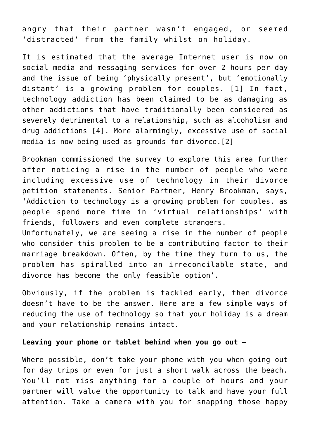angry that their partner wasn't engaged, or seemed 'distracted' from the family whilst on holiday.

It is estimated that the average Internet user is now on social media and messaging services for over 2 hours per day and the issue of being 'physically present', but 'emotionally distant' is a growing problem for couples. [1] In fact, technology addiction has been claimed to be as damaging as other addictions that have traditionally been considered as severely detrimental to a relationship, such as alcoholism and drug addictions [4]. More alarmingly, excessive use of social media is now being used as grounds for divorce.[2]

Brookman commissioned the survey to explore this area further after noticing a rise in the number of people who were including excessive use of technology in their divorce petition statements. Senior Partner, Henry Brookman, says, 'Addiction to technology is a growing problem for couples, as people spend more time in 'virtual relationships' with friends, followers and even complete strangers.

Unfortunately, we are seeing a rise in the number of people who consider this problem to be a contributing factor to their marriage breakdown. Often, by the time they turn to us, the problem has spiralled into an irreconcilable state, and divorce has become the only feasible option'.

Obviously, if the problem is tackled early, then divorce doesn't have to be the answer. Here are a few simple ways of reducing the use of technology so that your holiday is a dream and your relationship remains intact.

## **Leaving your phone or tablet behind when you go out –**

Where possible, don't take your phone with you when going out for day trips or even for just a short walk across the beach. You'll not miss anything for a couple of hours and your partner will value the opportunity to talk and have your full attention. Take a camera with you for snapping those happy